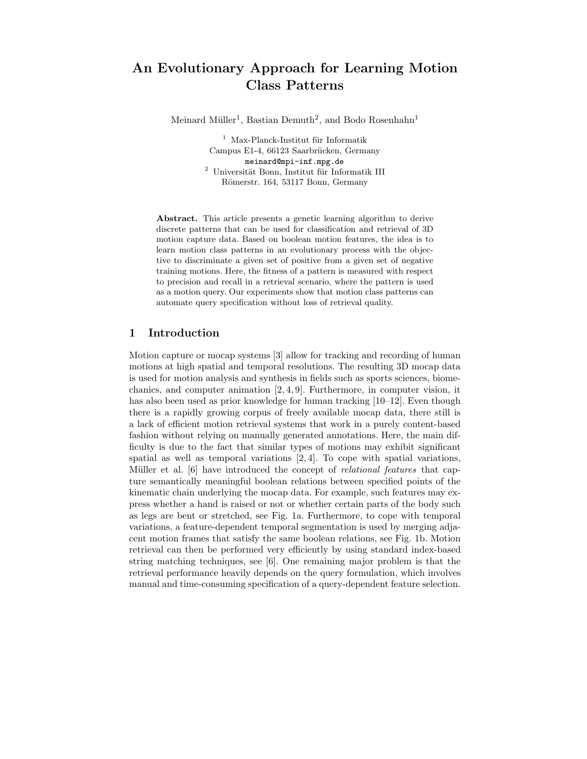# An Evolutionary Approach for Learning Motion Class Patterns

Meinard Müller<sup>1</sup>, Bastian Demuth<sup>2</sup>, and Bodo Rosenhahn<sup>1</sup>

 $1$  Max-Planck-Institut für Informatik Campus E1-4, 66123 Saarbrücken, Germany meinard@mpi-inf.mpg.de  $^2\,$ Universität Bonn, Institut für Informatik III Römerstr. 164, 53117 Bonn, Germany

Abstract. This article presents a genetic learning algorithm to derive discrete patterns that can be used for classification and retrieval of 3D motion capture data. Based on boolean motion features, the idea is to learn motion class patterns in an evolutionary process with the objective to discriminate a given set of positive from a given set of negative training motions. Here, the fitness of a pattern is measured with respect to precision and recall in a retrieval scenario, where the pattern is used as a motion query. Our experiments show that motion class patterns can automate query specification without loss of retrieval quality.

## 1 Introduction

Motion capture or mocap systems [3] allow for tracking and recording of human motions at high spatial and temporal resolutions. The resulting 3D mocap data is used for motion analysis and synthesis in fields such as sports sciences, biomechanics, and computer animation [2, 4, 9]. Furthermore, in computer vision, it has also been used as prior knowledge for human tracking [10–12]. Even though there is a rapidly growing corpus of freely available mocap data, there still is a lack of efficient motion retrieval systems that work in a purely content-based fashion without relying on manually generated annotations. Here, the main difficulty is due to the fact that similar types of motions may exhibit significant spatial as well as temporal variations [2, 4]. To cope with spatial variations, Müller et al. [6] have introduced the concept of *relational features* that capture semantically meaningful boolean relations between specified points of the kinematic chain underlying the mocap data. For example, such features may express whether a hand is raised or not or whether certain parts of the body such as legs are bent or stretched, see Fig. 1a. Furthermore, to cope with temporal variations, a feature-dependent temporal segmentation is used by merging adjacent motion frames that satisfy the same boolean relations, see Fig. 1b. Motion retrieval can then be performed very efficiently by using standard index-based string matching techniques, see [6]. One remaining major problem is that the retrieval performance heavily depends on the query formulation, which involves manual and time-consuming specification of a query-dependent feature selection.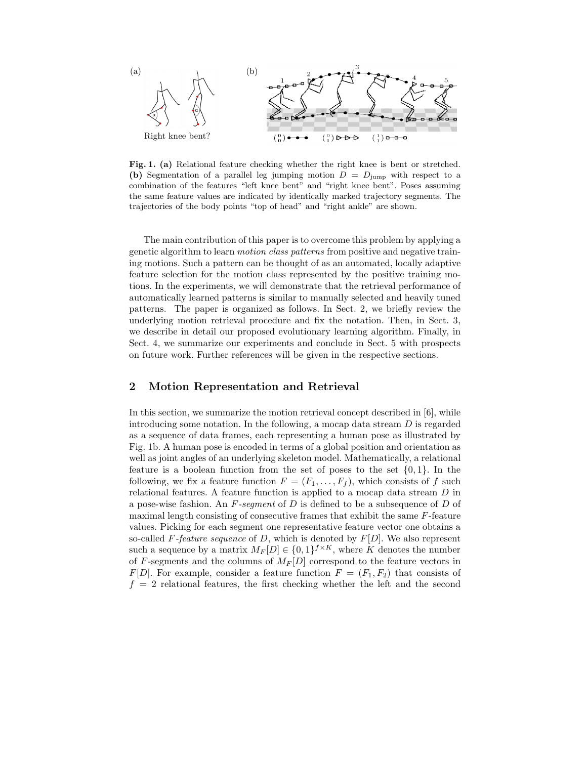

Fig. 1. (a) Relational feature checking whether the right knee is bent or stretched. (b) Segmentation of a parallel leg jumping motion  $D = D_{\text{jump}}$  with respect to a combination of the features "left knee bent" and "right knee bent". Poses assuming the same feature values are indicated by identically marked trajectory segments. The trajectories of the body points "top of head" and "right ankle" are shown.

The main contribution of this paper is to overcome this problem by applying a genetic algorithm to learn motion class patterns from positive and negative training motions. Such a pattern can be thought of as an automated, locally adaptive feature selection for the motion class represented by the positive training motions. In the experiments, we will demonstrate that the retrieval performance of automatically learned patterns is similar to manually selected and heavily tuned patterns. The paper is organized as follows. In Sect. 2, we briefly review the underlying motion retrieval procedure and fix the notation. Then, in Sect. 3, we describe in detail our proposed evolutionary learning algorithm. Finally, in Sect. 4, we summarize our experiments and conclude in Sect. 5 with prospects on future work. Further references will be given in the respective sections.

## 2 Motion Representation and Retrieval

In this section, we summarize the motion retrieval concept described in [6], while introducing some notation. In the following, a mocap data stream  $D$  is regarded as a sequence of data frames, each representing a human pose as illustrated by Fig. 1b. A human pose is encoded in terms of a global position and orientation as well as joint angles of an underlying skeleton model. Mathematically, a relational feature is a boolean function from the set of poses to the set  $\{0,1\}$ . In the following, we fix a feature function  $F = (F_1, \ldots, F_f)$ , which consists of f such relational features. A feature function is applied to a mocap data stream D in a pose-wise fashion. An  $F$ -segment of  $D$  is defined to be a subsequence of  $D$  of maximal length consisting of consecutive frames that exhibit the same F-feature values. Picking for each segment one representative feature vector one obtains a so-called F-feature sequence of D, which is denoted by  $F[D]$ . We also represent such a sequence by a matrix  $M_F[D] \in \{0,1\}^{f \times K}$ , where K denotes the number of F-segments and the columns of  $M_F[D]$  correspond to the feature vectors in  $F[D]$ . For example, consider a feature function  $F = (F_1, F_2)$  that consists of  $f = 2$  relational features, the first checking whether the left and the second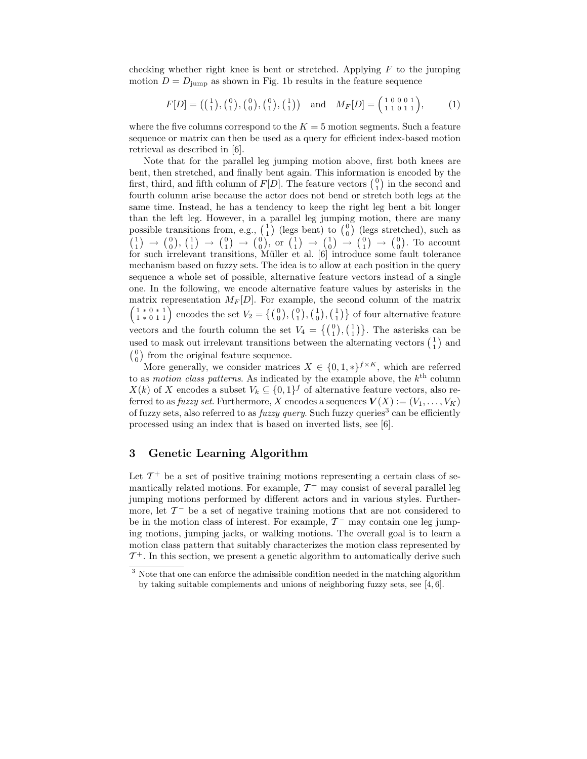checking whether right knee is bent or stretched. Applying  $F$  to the jumping motion  $D = D_{\text{jump}}$  as shown in Fig. 1b results in the feature sequence

$$
F[D] = \left( \begin{smallmatrix} 1 \\ 1 \end{smallmatrix} \right), \left( \begin{smallmatrix} 0 \\ 1 \end{smallmatrix} \right), \left( \begin{smallmatrix} 0 \\ 0 \end{smallmatrix} \right), \left( \begin{smallmatrix} 0 \\ 1 \end{smallmatrix} \right), \left( \begin{smallmatrix} 1 \\ 1 \end{smallmatrix} \right) \right) \text{ and } M_F[D] = \begin{pmatrix} 1 & 0 & 0 & 0 & 1 \\ 1 & 1 & 0 & 1 & 1 \end{pmatrix}, \tag{1}
$$

where the five columns correspond to the  $K = 5$  motion segments. Such a feature sequence or matrix can then be used as a query for efficient index-based motion retrieval as described in [6].

Note that for the parallel leg jumping motion above, first both knees are bent, then stretched, and finally bent again. This information is encoded by the first, third, and fifth column of  $F[D]$ . The feature vectors  $\binom{0}{1}$  in the second and fourth column arise because the actor does not bend or stretch both legs at the same time. Instead, he has a tendency to keep the right leg bent a bit longer than the left leg. However, in a parallel leg jumping motion, there are many possible transitions from, e.g.,  $\begin{pmatrix} 1 \\ 1 \end{pmatrix}$  (legs bent) to  $\begin{pmatrix} 0 \\ 0 \end{pmatrix}$  (legs stretched), such as  $\binom{1}{1} \rightarrow \binom{0}{0}, \binom{1}{1} \rightarrow \binom{0}{1} \rightarrow \binom{0}{0}, \text{ or } \binom{1}{1} \rightarrow \binom{1}{0} \rightarrow \binom{0}{1} \rightarrow \binom{0}{0}.$  To account for such irrelevant transitions, Müller et al. [6] introduce some fault tolerance mechanism based on fuzzy sets. The idea is to allow at each position in the query sequence a whole set of possible, alternative feature vectors instead of a single one. In the following, we encode alternative feature values by asterisks in the matrix representation  $M_F[D]$ . For example, the second column of the matrix  $\binom{1*0*1}{1*011}$  encodes the set  $V_2 = \{ \binom{0}{0}, \binom{0}{1}, \binom{1}{0}, \binom{1}{1} \}$  of four alternative feature vectors and the fourth column the set  $V_4 = \{ \begin{pmatrix} 0 \\ 1 \end{pmatrix}, \begin{pmatrix} 1 \\ 1 \end{pmatrix} \}$ . The asterisks can be used to mask out irrelevant transitions between the alternating vectors  $\begin{pmatrix} 1 \\ 1 \end{pmatrix}$  and  $\binom{0}{0}$  from the original feature sequence.

More generally, we consider matrices  $X \in \{0, 1, *\}^{f \times K}$ , which are referred to as *motion class patterns*. As indicated by the example above, the  $k^{\text{th}}$  column  $X(k)$  of X encodes a subset  $V_k \subseteq \{0,1\}^f$  of alternative feature vectors, also referred to as *fuzzy set*. Furthermore, X encodes a sequences  $V(X) := (V_1, \ldots, V_K)$ of fuzzy sets, also referred to as  $fuzzy query$ . Such fuzzy queries<sup>3</sup> can be efficiently processed using an index that is based on inverted lists, see [6].

## 3 Genetic Learning Algorithm

Let  $\mathcal{T}^+$  be a set of positive training motions representing a certain class of semantically related motions. For example,  $\mathcal{T}^+$  may consist of several parallel leg jumping motions performed by different actors and in various styles. Furthermore, let  $\mathcal{T}^-$  be a set of negative training motions that are not considered to be in the motion class of interest. For example,  $\mathcal{T}^-$  may contain one leg jumping motions, jumping jacks, or walking motions. The overall goal is to learn a motion class pattern that suitably characterizes the motion class represented by  $\mathcal{T}^{+}$ . In this section, we present a genetic algorithm to automatically derive such

<sup>&</sup>lt;sup>3</sup> Note that one can enforce the admissible condition needed in the matching algorithm by taking suitable complements and unions of neighboring fuzzy sets, see [4, 6].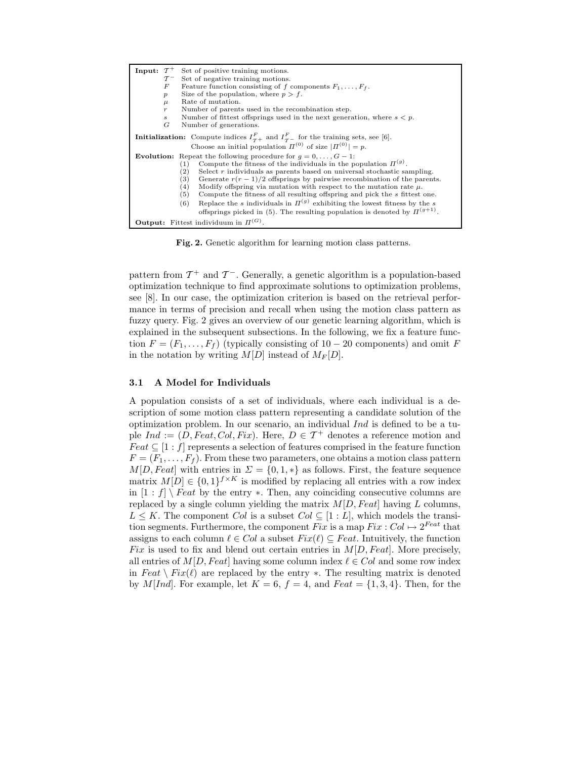| Input: $\mathcal{T}^+$<br>Set of positive training motions.                                                                                                                                                                                                                                                                                                                                                                                                                                                                                                                                                                                                                                            |  |  |  |  |  |  |
|--------------------------------------------------------------------------------------------------------------------------------------------------------------------------------------------------------------------------------------------------------------------------------------------------------------------------------------------------------------------------------------------------------------------------------------------------------------------------------------------------------------------------------------------------------------------------------------------------------------------------------------------------------------------------------------------------------|--|--|--|--|--|--|
| Set of negative training motions.<br>$\tau^-$                                                                                                                                                                                                                                                                                                                                                                                                                                                                                                                                                                                                                                                          |  |  |  |  |  |  |
| Feature function consisting of f components $F_1, \ldots, F_f$ .<br>F                                                                                                                                                                                                                                                                                                                                                                                                                                                                                                                                                                                                                                  |  |  |  |  |  |  |
| Size of the population, where $p > f$ .<br>$\boldsymbol{p}$                                                                                                                                                                                                                                                                                                                                                                                                                                                                                                                                                                                                                                            |  |  |  |  |  |  |
| Rate of mutation.<br>$\mu$                                                                                                                                                                                                                                                                                                                                                                                                                                                                                                                                                                                                                                                                             |  |  |  |  |  |  |
| Number of parents used in the recombination step.<br>$\,r$                                                                                                                                                                                                                                                                                                                                                                                                                                                                                                                                                                                                                                             |  |  |  |  |  |  |
| Number of fittest offsprings used in the next generation, where $s < p$ .<br>$\boldsymbol{s}$                                                                                                                                                                                                                                                                                                                                                                                                                                                                                                                                                                                                          |  |  |  |  |  |  |
| G<br>Number of generations.                                                                                                                                                                                                                                                                                                                                                                                                                                                                                                                                                                                                                                                                            |  |  |  |  |  |  |
| <b>Initialization:</b> Compute indices $I_{\tau+}^F$ and $I_{\tau-}^F$ for the training sets, see [6].<br>Choose an initial population $\Pi^{(0)}$ of size $ \Pi^{(0)}  = p$ .                                                                                                                                                                                                                                                                                                                                                                                                                                                                                                                         |  |  |  |  |  |  |
| <b>Evolution:</b> Repeat the following procedure for $q = 0, \ldots, G-1$ :<br>Compute the fitness of the individuals in the population $\Pi^{(g)}$ .<br>(1)<br>Select $r$ individuals as parents based on universal stochastic sampling.<br>$\left( 2\right)$<br>(3)<br>Generate $r(r-1)/2$ offsprings by pairwise recombination of the parents.<br>(4)<br>Modify offspring via mutation with respect to the mutation rate $\mu$ .<br>(5)<br>Compute the fitness of all resulting offspring and pick the s fittest one.<br>Replace the s individuals in $\Pi^{(g)}$ exhibiting the lowest fitness by the s<br>(6)<br>offsprings picked in (5). The resulting population is denoted by $\Pi^{(g+1)}$ . |  |  |  |  |  |  |
| <b>Output:</b> Fittest individuum in $\Pi^{(G)}$ .                                                                                                                                                                                                                                                                                                                                                                                                                                                                                                                                                                                                                                                     |  |  |  |  |  |  |

Fig. 2. Genetic algorithm for learning motion class patterns.

pattern from  $\mathcal{T}^+$  and  $\mathcal{T}^-$ . Generally, a genetic algorithm is a population-based optimization technique to find approximate solutions to optimization problems, see [8]. In our case, the optimization criterion is based on the retrieval performance in terms of precision and recall when using the motion class pattern as fuzzy query. Fig. 2 gives an overview of our genetic learning algorithm, which is explained in the subsequent subsections. In the following, we fix a feature function  $F = (F_1, \ldots, F_f)$  (typically consisting of 10 – 20 components) and omit F in the notation by writing  $M[D]$  instead of  $M_F[D]$ .

#### 3.1 A Model for Individuals

A population consists of a set of individuals, where each individual is a description of some motion class pattern representing a candidate solution of the optimization problem. In our scenario, an individual Ind is defined to be a tuple  $Ind := (D, Feat, Col, Fix)$ . Here,  $D \in \mathcal{T}^+$  denotes a reference motion and  $Feat \subseteq [1 : f]$  represents a selection of features comprised in the feature function  $F = (F_1, \ldots, F_f)$ . From these two parameters, one obtains a motion class pattern  $M[D, Feat]$  with entries in  $\Sigma = \{0, 1, *\}$  as follows. First, the feature sequence matrix  $M[D] \in \{0,1\}^{f \times K}$  is modified by replacing all entries with a row index in  $[1 : f] \setminus \text{Feat}$  by the entry  $\ast$ . Then, any coinciding consecutive columns are replaced by a single column yielding the matrix  $M[D, Feat]$  having L columns,  $L \leq K$ . The component Col is a subset Col  $\subseteq$  [1 : L], which models the transition segments. Furthermore, the component Fix is a map  $Fix : Col \mapsto 2^{Feat}$  that assigns to each column  $\ell \in Col$  a subset  $Fix(\ell) \subseteq Feat$ . Intuitively, the function Fix is used to fix and blend out certain entries in  $M[D, Feat]$ . More precisely, all entries of  $M[D, Feat]$  having some column index  $\ell \in Col$  and some row index in  $Feat \setminus Fix(\ell)$  are replaced by the entry  $\ast$ . The resulting matrix is denoted by M[Ind]. For example, let  $K = 6$ ,  $f = 4$ , and  $Feat = \{1, 3, 4\}$ . Then, for the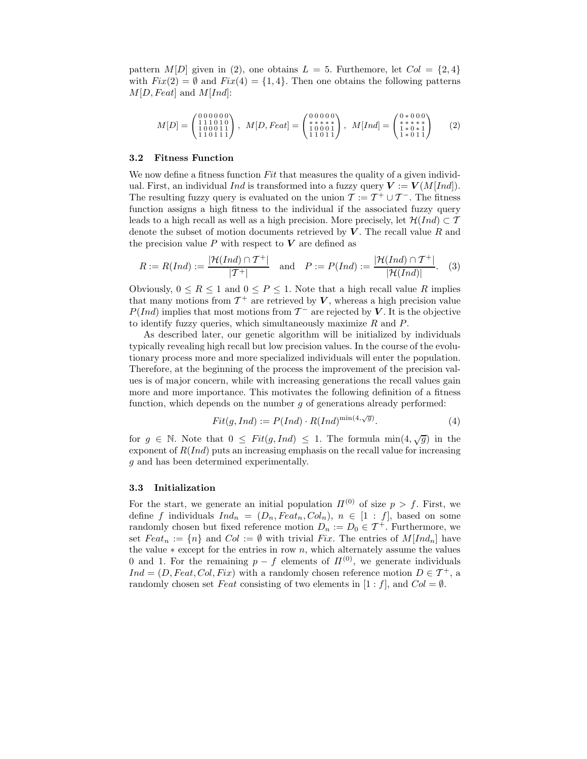pattern  $M[D]$  given in (2), one obtains  $L = 5$ . Furthemore, let  $Col = \{2, 4\}$ with  $Fix(2) = \emptyset$  and  $Fix(4) = \{1, 4\}$ . Then one obtains the following patterns  $M[D, Feat]$  and  $M[Ind]$ :

$$
M[D] = \begin{pmatrix} 0 & 0 & 0 & 0 & 0 & 0 \\ 1 & 1 & 1 & 0 & 1 & 1 \\ 1 & 0 & 0 & 0 & 1 & 1 \\ 1 & 1 & 0 & 1 & 1 & 1 \end{pmatrix}, \quad M[D, Feat] = \begin{pmatrix} 0 & 0 & 0 & 0 & 0 \\ * & * & * & * \\ 1 & 0 & 0 & 1 & 1 \\ 1 & 1 & 0 & 1 & 1 \end{pmatrix}, \quad M[Ind] = \begin{pmatrix} 0 & * & 0 & 0 & 0 \\ * & * & * & * & * \\ 1 & * & 0 & * & 1 \\ 1 & * & 0 & 1 & 1 \end{pmatrix} \tag{2}
$$

#### 3.2 Fitness Function

We now define a fitness function Fit that measures the quality of a given individual. First, an individual Ind is transformed into a fuzzy query  $V := V(M[Ind])$ . The resulting fuzzy query is evaluated on the union  $\mathcal{T} := \mathcal{T}^+ \cup \mathcal{T}^-$ . The fitness function assigns a high fitness to the individual if the associated fuzzy query leads to a high recall as well as a high precision. More precisely, let  $\mathcal{H}(Ind) \subset \mathcal{T}$ denote the subset of motion documents retrieved by  $V$ . The recall value R and the precision value  $P$  with respect to  $V$  are defined as

$$
R := R(Ind) := \frac{|\mathcal{H}(Ind) \cap \mathcal{T}^+|}{|\mathcal{T}^+|} \quad \text{and} \quad P := P(Ind) := \frac{|\mathcal{H}(Ind) \cap \mathcal{T}^+|}{|\mathcal{H}(Ind)|}. \tag{3}
$$

Obviously,  $0 \le R \le 1$  and  $0 \le P \le 1$ . Note that a high recall value R implies that many motions from  $\mathcal{T}^+$  are retrieved by  $V$ , whereas a high precision value  $P(Ind)$  implies that most motions from  $\mathcal{T}^-$  are rejected by V. It is the objective to identify fuzzy queries, which simultaneously maximize R and P.

As described later, our genetic algorithm will be initialized by individuals typically revealing high recall but low precision values. In the course of the evolutionary process more and more specialized individuals will enter the population. Therefore, at the beginning of the process the improvement of the precision values is of major concern, while with increasing generations the recall values gain more and more importance. This motivates the following definition of a fitness function, which depends on the number  $g$  of generations already performed:

$$
Fit(g, Ind) := P(Ind) \cdot R(Ind)^{\min(4,\sqrt{g})}.
$$
 (4)

for  $g \in \mathbb{N}$ . Note that  $0 \leq Fit(g, Ind) \leq 1$ . The formula  $min(4, \sqrt{g})$  in the exponent of  $R(Ind)$  puts an increasing emphasis on the recall value for increasing g and has been determined experimentally.

#### 3.3 Initialization

For the start, we generate an initial population  $\Pi^{(0)}$  of size  $p > f$ . First, we define f individuals  $Ind_n = (D_n, Feat_n, Col_n), n \in [1 : f]$ , based on some randomly chosen but fixed reference motion  $D_n := D_0 \in \mathcal{T}^+$ . Furthermore, we set  $Feat_n := \{n\}$  and  $Col := \emptyset$  with trivial Fix. The entries of  $M[Ind_n]$  have the value  $*$  except for the entries in row n, which alternately assume the values 0 and 1. For the remaining  $p - f$  elements of  $\Pi^{(0)}$ , we generate individuals  $Ind = (D, Feat, Col, Fix)$  with a randomly chosen reference motion  $D \in \mathcal{T}^+$ , a randomly chosen set Feat consisting of two elements in  $[1 : f]$ , and  $Col = \emptyset$ .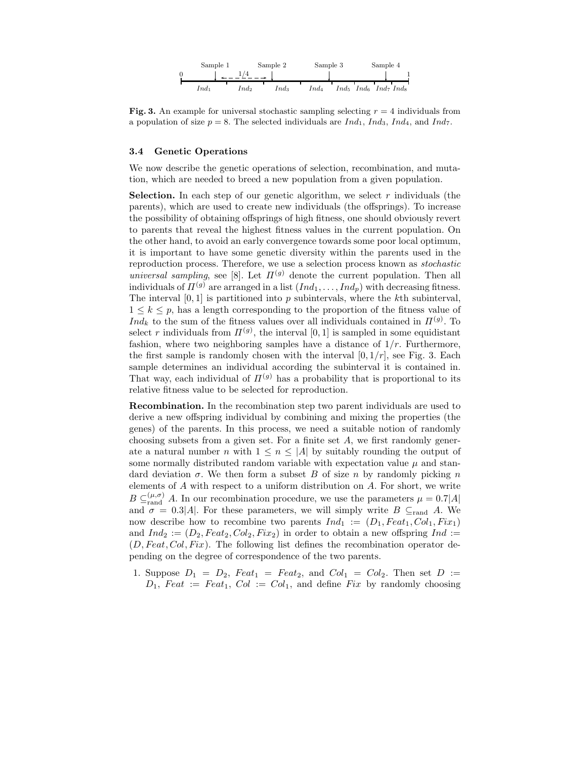

Fig. 3. An example for universal stochastic sampling selecting  $r = 4$  individuals from a population of size  $p = 8$ . The selected individuals are  $Ind_1$ ,  $Ind_3$ ,  $Ind_4$ , and  $Ind_7$ .

#### 3.4 Genetic Operations

We now describe the genetic operations of selection, recombination, and mutation, which are needed to breed a new population from a given population.

**Selection.** In each step of our genetic algorithm, we select  $r$  individuals (the parents), which are used to create new individuals (the offsprings). To increase the possibility of obtaining offsprings of high fitness, one should obviously revert to parents that reveal the highest fitness values in the current population. On the other hand, to avoid an early convergence towards some poor local optimum, it is important to have some genetic diversity within the parents used in the reproduction process. Therefore, we use a selection process known as stochastic universal sampling, see [8]. Let  $\Pi^{(g)}$  denote the current population. Then all individuals of  $\Pi^{(g)}$  are arranged in a list  $(Ind_1, \ldots, Ind_n)$  with decreasing fitness. The interval  $[0, 1]$  is partitioned into  $p$  subintervals, where the kth subinterval,  $1 \leq k \leq p$ , has a length corresponding to the proportion of the fitness value of  $Ind_k$  to the sum of the fitness values over all individuals contained in  $\Pi^{(g)}$ . To select r individuals from  $\Pi^{(g)}$ , the interval [0, 1] is sampled in some equidistant fashion, where two neighboring samples have a distance of  $1/r$ . Furthermore, the first sample is randomly chosen with the interval  $[0, 1/r]$ , see Fig. 3. Each sample determines an individual according the subinterval it is contained in. That way, each individual of  $\Pi^{(g)}$  has a probability that is proportional to its relative fitness value to be selected for reproduction.

Recombination. In the recombination step two parent individuals are used to derive a new offspring individual by combining and mixing the properties (the genes) of the parents. In this process, we need a suitable notion of randomly choosing subsets from a given set. For a finite set  $A$ , we first randomly generate a natural number n with  $1 \leq n \leq |A|$  by suitably rounding the output of some normally distributed random variable with expectation value  $\mu$  and standard deviation  $\sigma$ . We then form a subset B of size n by randomly picking n elements of A with respect to a uniform distribution on A. For short, we write  $B \subseteq_{\text{rand}}^{(\mu,\sigma)} A$ . In our recombination procedure, we use the parameters  $\mu = 0.7|A|$ and  $\sigma = 0.3|A|$ . For these parameters, we will simply write B  $\subseteq$ <sub>rand</sub> A. We now describe how to recombine two parents  $Ind_1 := (D_1, Feat_1, Col_1, Fix_1)$ and  $Ind_2 := (D_2, Feat_2, Col_2, Fix_2)$  in order to obtain a new offspring  $Ind :=$  $(D, Feat, Col, Fix)$ . The following list defines the recombination operator depending on the degree of correspondence of the two parents.

1. Suppose  $D_1 = D_2$ ,  $Feat_1 = Feat_2$ , and  $Col_1 = Col_2$ . Then set  $D :=$  $D_1$ , Feat := Feat<sub>1</sub>, Col := Col<sub>1</sub>, and define Fix by randomly choosing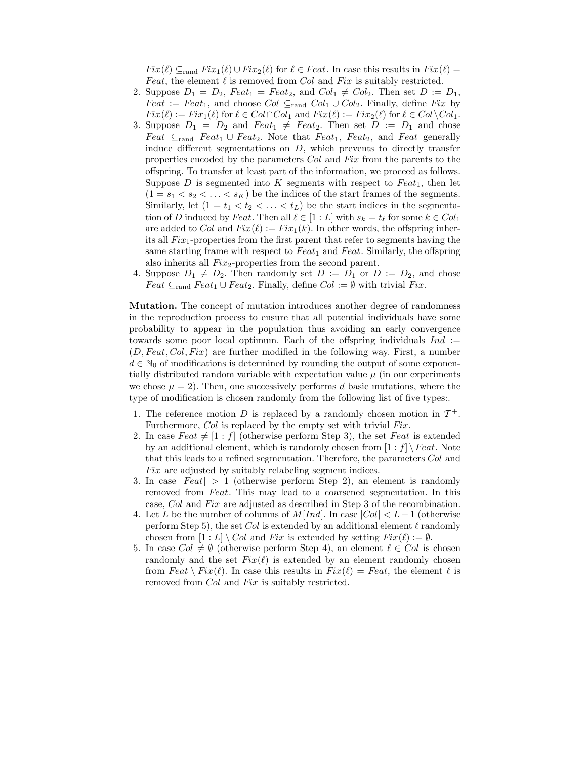$Fix(\ell) \subseteq_{\text{rand}} Fix_1(\ell) \cup Fix_2(\ell)$  for  $\ell \in Feat$ . In case this results in  $Fix(\ell) =$ Feat, the element  $\ell$  is removed from Col and Fix is suitably restricted.

- 2. Suppose  $D_1 = D_2$ ,  $Feat_1 = Feat_2$ , and  $Col_1 \neq Col_2$ . Then set  $D := D_1$ , Feat := Feat<sub>1</sub>, and choose Col  $\subseteq$ <sub>rand</sub> Col<sub>1</sub> ∪ Col<sub>2</sub>. Finally, define Fix by  $Fix(\ell) := Fix_1(\ell)$  for  $\ell \in Col \cap Col_1$  and  $Fix(\ell) := Fix_2(\ell)$  for  $\ell \in Col \setminus Col_1$ .
- 3. Suppose  $D_1 = D_2$  and  $Feat_1 \neq Feat_2$ . Then set  $D := D_1$  and chose Feat  $\subseteq_{\text{rand}}$  Feat<sub>1</sub> ∪ Feat<sub>2</sub>. Note that Feat<sub>1</sub>, Feat<sub>2</sub>, and Feat generally induce different segmentations on  $D$ , which prevents to directly transfer properties encoded by the parameters Col and Fix from the parents to the offspring. To transfer at least part of the information, we proceed as follows. Suppose  $D$  is segmented into  $K$  segments with respect to  $Feat_1$ , then let  $(1 = s_1 < s_2 < \ldots < s_K)$  be the indices of the start frames of the segments. Similarly, let  $(1 = t_1 < t_2 < \ldots < t_L)$  be the start indices in the segmentation of D induced by Feat. Then all  $\ell \in [1:L]$  with  $s_k = t_\ell$  for some  $k \in Col_1$ are added to Col and  $Fix(\ell) := Fix_1(k)$ . In other words, the offspring inherits all  $Fix_1$ -properties from the first parent that refer to segments having the same starting frame with respect to  $Feat_1$  and  $Feat$ . Similarly, the offspring also inherits all  $Fix_2$ -properties from the second parent.
- 4. Suppose  $D_1 \neq D_2$ . Then randomly set  $D := D_1$  or  $D := D_2$ , and chose Feat  $\subseteq_{\text{rand}}$  Feat<sub>1</sub> ∪ Feat<sub>2</sub>. Finally, define  $Col := \emptyset$  with trivial Fix.

Mutation. The concept of mutation introduces another degree of randomness in the reproduction process to ensure that all potential individuals have some probability to appear in the population thus avoiding an early convergence towards some poor local optimum. Each of the offspring individuals  $Ind :=$  $(D, Feat, Col, Fix)$  are further modified in the following way. First, a number  $d \in \mathbb{N}_0$  of modifications is determined by rounding the output of some exponentially distributed random variable with expectation value  $\mu$  (in our experiments we chose  $\mu = 2$ ). Then, one successively performs d basic mutations, where the type of modification is chosen randomly from the following list of five types:.

- 1. The reference motion D is replaced by a randomly chosen motion in  $\mathcal{T}^+$ . Furthermore, Col is replaced by the empty set with trivial Fix.
- 2. In case  $Feat \neq [1 : f]$  (otherwise perform Step 3), the set Feat is extended by an additional element, which is randomly chosen from  $[1 : f] \setminus \text{Fact. Note}$ that this leads to a refined segmentation. Therefore, the parameters Col and Fix are adjusted by suitably relabeling segment indices.
- 3. In case  $\left| \text{Feat} \right| > 1$  (otherwise perform Step 2), an element is randomly removed from Feat. This may lead to a coarsened segmentation. In this case, Col and Fix are adjusted as described in Step 3 of the recombination.
- 4. Let L be the number of columns of  $M[Ind]$ . In case  $|Col| < L-1$  (otherwise perform Step 5), the set Col is extended by an additional element  $\ell$  randomly chosen from  $[1 : L] \setminus Col$  and Fix is extended by setting  $Fix(\ell) := \emptyset$ .
- 5. In case  $Col \neq \emptyset$  (otherwise perform Step 4), an element  $\ell \in Col$  is chosen randomly and the set  $Fix(\ell)$  is extended by an element randomly chosen from  $Feat \setminus Fix(\ell)$ . In case this results in  $Fix(\ell) = Feat$ , the element  $\ell$  is removed from Col and Fix is suitably restricted.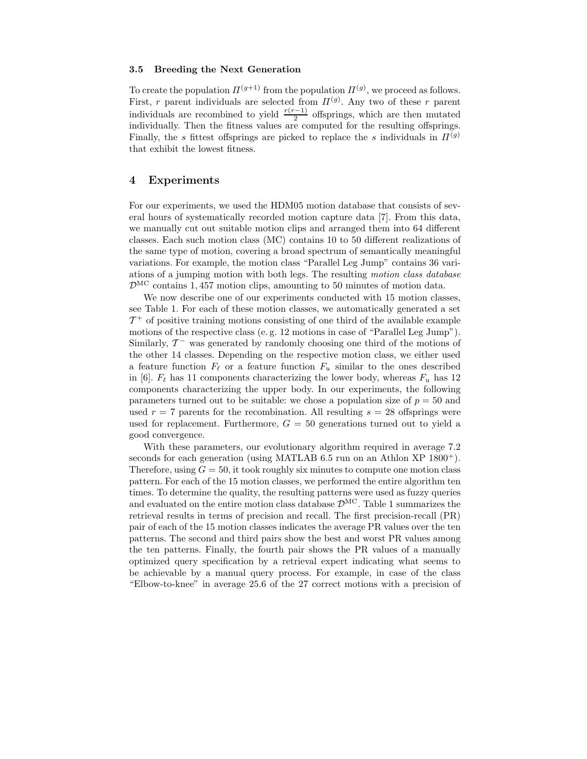#### 3.5 Breeding the Next Generation

To create the population  $\Pi^{(g+1)}$  from the population  $\Pi^{(g)}$ , we proceed as follows. First, r parent individuals are selected from  $\Pi^{(g)}$ . Any two of these r parent individuals are recombined to yield  $\frac{r(r-1)}{2}$  offsprings, which are then mutated individually. Then the fitness values are computed for the resulting offsprings. Finally, the s fittest offsprings are picked to replace the s individuals in  $\Pi^{(g)}$ that exhibit the lowest fitness.

## 4 Experiments

For our experiments, we used the HDM05 motion database that consists of several hours of systematically recorded motion capture data [7]. From this data, we manually cut out suitable motion clips and arranged them into 64 different classes. Each such motion class (MC) contains 10 to 50 different realizations of the same type of motion, covering a broad spectrum of semantically meaningful variations. For example, the motion class "Parallel Leg Jump" contains 36 variations of a jumping motion with both legs. The resulting motion class database  $\mathcal{D}^{\text{MC}}$  contains 1,457 motion clips, amounting to 50 minutes of motion data.

We now describe one of our experiments conducted with 15 motion classes, see Table 1. For each of these motion classes, we automatically generated a set  $\mathcal{T}^+$  of positive training motions consisting of one third of the available example motions of the respective class (e. g. 12 motions in case of "Parallel Leg Jump"). Similarly,  $\mathcal{T}^-$  was generated by randomly choosing one third of the motions of the other 14 classes. Depending on the respective motion class, we either used a feature function  $F_{\ell}$  or a feature function  $F_u$  similar to the ones described in [6].  $F_{\ell}$  has 11 components characterizing the lower body, whereas  $F_u$  has 12 components characterizing the upper body. In our experiments, the following parameters turned out to be suitable: we chose a population size of  $p = 50$  and used  $r = 7$  parents for the recombination. All resulting  $s = 28$  offsprings were used for replacement. Furthermore,  $G = 50$  generations turned out to yield a good convergence.

With these parameters, our evolutionary algorithm required in average 7.2 seconds for each generation (using MATLAB 6.5 run on an Athlon XP  $1800<sup>+</sup>$ ). Therefore, using  $G = 50$ , it took roughly six minutes to compute one motion class pattern. For each of the 15 motion classes, we performed the entire algorithm ten times. To determine the quality, the resulting patterns were used as fuzzy queries and evaluated on the entire motion class database  $\mathcal{D}^{\text{MC}}$ . Table 1 summarizes the retrieval results in terms of precision and recall. The first precision-recall (PR) pair of each of the 15 motion classes indicates the average PR values over the ten patterns. The second and third pairs show the best and worst PR values among the ten patterns. Finally, the fourth pair shows the PR values of a manually optimized query specification by a retrieval expert indicating what seems to be achievable by a manual query process. For example, in case of the class "Elbow-to-knee" in average 25.6 of the 27 correct motions with a precision of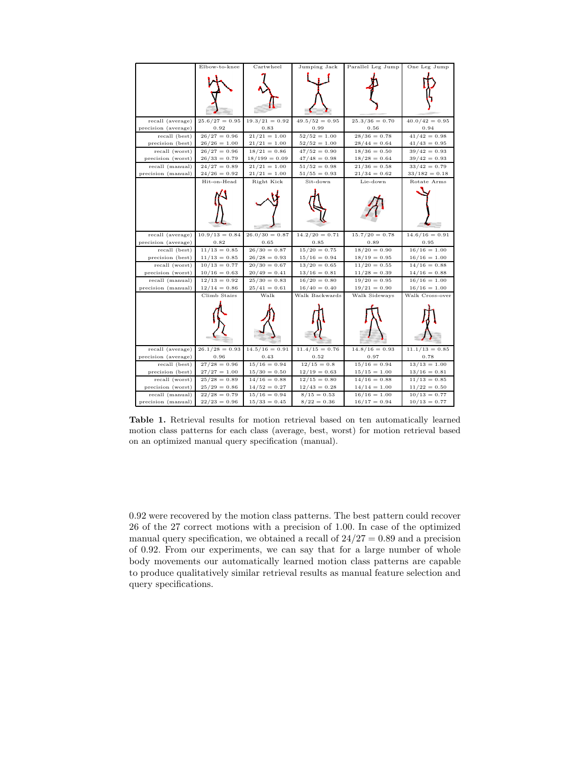|                                       | Elbow-to-knee                    | Cartwheel                        | Jumping Jack               | Parallel Leg Jump          | One Leg Jump                     |
|---------------------------------------|----------------------------------|----------------------------------|----------------------------|----------------------------|----------------------------------|
|                                       |                                  |                                  |                            |                            |                                  |
|                                       |                                  |                                  |                            |                            |                                  |
|                                       |                                  |                                  |                            |                            |                                  |
|                                       |                                  |                                  |                            |                            |                                  |
|                                       |                                  |                                  |                            |                            |                                  |
|                                       |                                  |                                  |                            |                            |                                  |
| recall (average)                      | $25.6/27 = 0.95$                 | $19.3/21 = 0.92$                 | $49.5/52 = 0.95$           | $25.3/36 = 0.70$           | $40.0/42 = 0.95$                 |
| precision (average)                   | 0.92                             | 0.83                             | 0.99                       | 0.56                       | 0.94                             |
| recall (best)                         | $26/27 = 0.96$                   | $21/21 = 1.00$                   | $52/52 = 1.00$             | $28/36 = 0.78$             | $41/42 = 0.98$                   |
| precision (best)                      | $26/26 = 1.00$                   | $21/21 = 1.00$                   | $52/52 = 1.00$             | $28/44 = 0.64$             | $41/43 = 0.95$                   |
| recall (worst)                        | $26/27 = 0.96$                   | $18/21 = 0.86$                   | $47/52 = 0.90$             | $18/36 = 0.50$             | $39/42 = 0.93$                   |
| precision (worst)                     | $26/33 = 0.79$<br>$24/27 = 0.89$ | $18/199 = 0.09$                  | $47/48 = 0.98$             | $18/28 = 0.64$             | $39/42 = 0.93$<br>$33/42 = 0.79$ |
| recall (manual)<br>precision (manual) | $24/26 = 0.92$                   | $21/21 = 1.00$<br>$21/21 = 1.00$ | $51/52 = 0.98$             | $21/36 = 0.58$             | $33/182 = 0.18$                  |
|                                       | Hit-on-Head                      |                                  | $51/55 = 0.93$<br>Sit-down | $21/34 = 0.62$<br>Lie-down | Rotate Arms                      |
|                                       |                                  | Right Kick                       |                            |                            |                                  |
|                                       |                                  |                                  |                            |                            |                                  |
|                                       |                                  |                                  |                            |                            |                                  |
|                                       |                                  |                                  |                            |                            |                                  |
|                                       |                                  |                                  |                            |                            |                                  |
|                                       |                                  |                                  |                            |                            |                                  |
| recall (average)                      | $10.9/13 = 0.84$                 | $26.0/30 = 0.87$                 | $14.2/20 = 0.71$           | $15.7/20 = 0.78$           | $14.6/16 = 0.91$                 |
| precision (average)                   | 0.82                             | 0.65                             | 0.85                       | 0.89                       | 0.95                             |
| recall (best)                         | $11/13 = 0.85$                   | $26/30 = 0.87$                   | $15/20 = 0.75$             | $18/20 = 0.90$             | $16/16 = 1.00$                   |
| precision (best)                      | $11/13 = 0.85$                   | $26/28 = 0.93$                   | $15/16 = 0.94$             | $18/19 = 0.95$             | $16/16 = 1.00$                   |
| recall (worst)                        | $10/13 = 0.77$                   | $20/30 = 0.67$                   | $13/20 = 0.65$             | $11/20 = 0.55$             | $14/16 = 0.88$                   |
| precision (worst)                     | $10/16 = 0.63$                   | $20/49 = 0.41$                   | $13/16 = 0.81$             | $11/28 = 0.39$             | $14/16 = 0.88$                   |
| recall (manual)                       | $12/13 = 0.92$                   | $25/30 = 0.83$                   | $16/20 = 0.80$             | $19/20 = 0.95$             | $16/16 = 1.00$                   |
| precision (manual)                    | $12/14 = 0.86$                   | $25/41 = 0.61$                   | $16/40 = 0.40$             | $19/21 = 0.90$             | $16/16 = 1.00$                   |
|                                       | Climb Stairs                     | Walk                             | Walk Backwards             | Walk Sideways              | Walk Cross-over                  |
|                                       |                                  |                                  |                            |                            |                                  |
|                                       |                                  |                                  |                            |                            |                                  |
|                                       |                                  |                                  |                            |                            |                                  |
|                                       |                                  |                                  |                            |                            |                                  |
|                                       |                                  |                                  |                            |                            |                                  |
|                                       |                                  |                                  |                            |                            |                                  |
| recall (average)                      | $26.1/28 = 0.93$                 | $14.5/16 = 0.91$                 | $11.4/15 = 0.76$           | $14.8/16 = 0.93$           | $11.1/13 = 0.85$                 |
| precision (average)                   | 0.96                             | 0.43                             | 0.52                       | 0.97                       | 0.78                             |
| recall (best)                         | $27/28 = 0.96$                   | $15/16 = 0.94$                   | $12/15 = 0.8$              | $15/16 = 0.94$             | $13/13 = 1.00$                   |
| precision (best)                      | $27/27 = 1.00$                   | $15/30 = 0.50$                   | $12/19 = 0.63$             | $15/15 = 1.00$             | $13/16 = 0.81$                   |
| recall (worst)                        | $25/28 = 0.89$                   | $14/16 = 0.88$                   | $12/15 = 0.80$             | $14/16 = 0.88$             | $11/13 = 0.85$                   |
| precision (worst)                     | $25/29 = 0.86$                   | $14/52 = 0.27$                   | $12/43 = 0.28$             | $14/14 = 1.00$             | $11/22 = 0.50$                   |
| recall (manual)                       | $22/28 = 0.79$                   | $15/16 = 0.94$                   | $8/15 = 0.53$              | $16/16 = 1.00$             | $10/13 = 0.77$                   |
| precision (manual)                    | $22/23 = 0.96$                   | $15/33 = 0.45$                   | $8/22 = 0.36$              | $16/17 = 0.94$             | $10/13 = 0.77$                   |

Table 1. Retrieval results for motion retrieval based on ten automatically learned motion class patterns for each class (average, best, worst) for motion retrieval based on an optimized manual query specification (manual).

0.92 were recovered by the motion class patterns. The best pattern could recover 26 of the 27 correct motions with a precision of 1.00. In case of the optimized manual query specification, we obtained a recall of  $24/27 = 0.89$  and a precision of 0.92. From our experiments, we can say that for a large number of whole body movements our automatically learned motion class patterns are capable to produce qualitatively similar retrieval results as manual feature selection and query specifications.